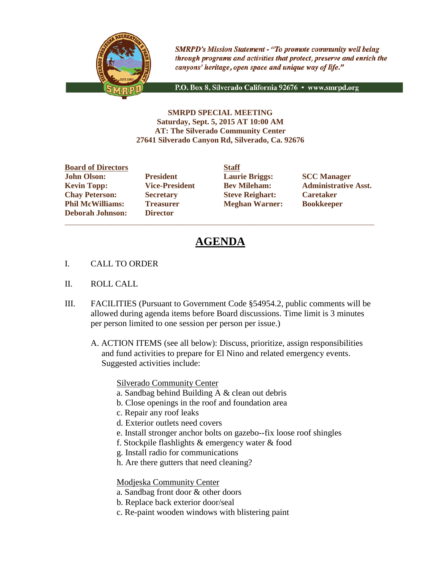

**SMRPD's Mission Statement - "To promote community well being** through programs and activities that protect, preserve and enrich the canyons' heritage, open space and unique way of life."

P.O. Box 8, Silverado California 92676 · www.smrpd.org

#### **SMRPD SPECIAL MEETING Saturday, Sept. 5, 2015 AT 10:00 AM AT: The Silverado Community Center 27641 Silverado Canyon Rd, Silverado, Ca. 92676**

**Board of Directors Staff John Olson: President Laurie Briggs: SCC Manager Chay Peterson: Secretary Steve Reighart: Caretaker Phil McWilliams: Treasurer Meghan Warner: Bookkeeper Deborah Johnson: Director**

\_\_\_\_\_\_\_\_\_\_\_\_\_\_\_\_\_\_\_\_\_\_\_\_\_\_\_\_\_\_\_\_\_\_\_\_\_\_\_\_\_\_\_\_\_\_\_\_\_\_\_\_\_\_\_\_\_\_\_\_\_\_\_\_\_\_\_\_\_\_\_\_\_\_\_\_\_\_\_\_\_\_\_\_\_\_

**Kevin Topp: Vice-President Bev Mileham: Administrative Asst.**

# **AGENDA**

- I. CALL TO ORDER
- II. ROLL CALL
- III. FACILITIES (Pursuant to Government Code §54954.2, public comments will be allowed during agenda items before Board discussions. Time limit is 3 minutes per person limited to one session per person per issue.)
	- A. ACTION ITEMS (see all below): Discuss, prioritize, assign responsibilities and fund activities to prepare for El Nino and related emergency events. Suggested activities include:

Silverado Community Center

- a. Sandbag behind Building A & clean out debris
- b. Close openings in the roof and foundation area
- c. Repair any roof leaks
- d. Exterior outlets need covers
- e. Install stronger anchor bolts on gazebo--fix loose roof shingles
- f. Stockpile flashlights & emergency water & food
- g. Install radio for communications
- h. Are there gutters that need cleaning?

Modjeska Community Center

- a. Sandbag front door & other doors
- b. Replace back exterior door/seal
- c. Re-paint wooden windows with blistering paint